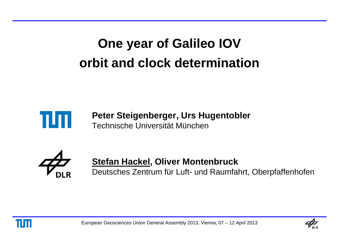# **One year of Galileo IOV orbit and clock determination**



**Peter Steigenberger, Urs Hugentobler** Technische Universität München



#### **Stefan Hackel, Oliver Montenbruck**

Deutsches Zentrum für Luft- und Raumfahrt, Oberpfaffenhofen



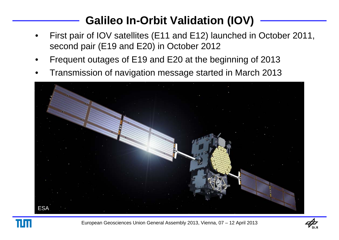## **Galileo In-Orbit Validation (IOV)**

- • First pair of IOV satellites (E11 and E12) launched in October 2011, second pair (E19 and E20) in October 2012
- •Frequent outages of E19 and E20 at the beginning of 2013
- •Transmission of navigation message started in March 2013



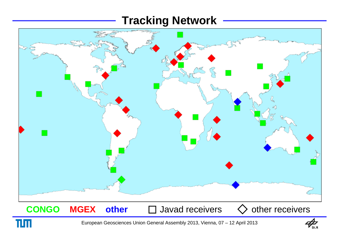#### **Tracking Network**



**CONGO**

TUT

**MGEX** other  $\Box$  Javad receivers  $\Diamond$  other receivers

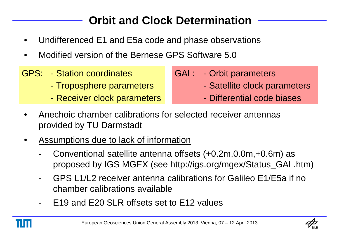## **Orbit and Clock Determination**

- •Undifferenced E1 and E5a code and phase observations
- •Modified version of the Bernese GPS Software 5.0
- GPS: Station coordinates
	- Troposphere parameters
	- -Receiver clock parameters
- GAL: Orbit parameters
	- -Satellite clock parameters
	- Differential code biases
- • Anechoic chamber calibrations for selected receiver antennas provided by TU Darmstadt
- • Assumptions due to lack of information
	- - Conventional satellite antenna offsets (+0.2m,0.0m,+0.6m) as proposed by IGS MGEX (see http://igs.org/mgex/Status\_GAL.htm)
	- - GPS L1/L2 receiver antenna calibrations for Galileo E1/E5a if nochamber calibrations available
	- -E19 and E20 SLR offsets set to E12 values

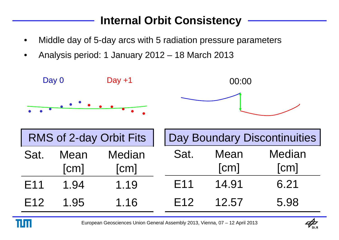### **Internal Orbit Consistency**

- •Middle day of 5-day arcs with 5 radiation pressure parameters
- •Analysis period: 1 January 2012 – 18 March 2013



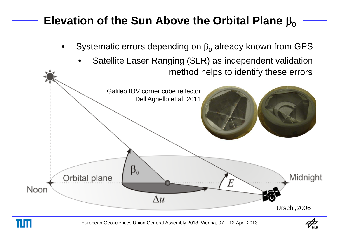### **Elevation of the Sun Above the Orbital Plane**  β **0**

- •Systematic errors depending on  $\beta_0$  already known from GPS
	- • Satellite Laser Ranging (SLR) as independent validation method helps to identify these errors





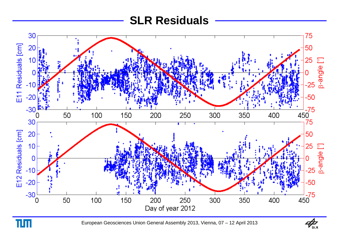#### **SLR Residuals**





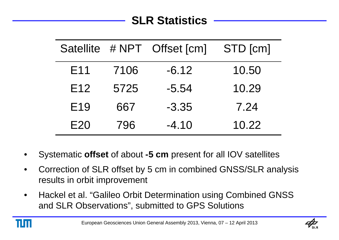### **SLR Statistics**

| <b>Satellite</b> |      | # NPT Offset [cm] | STD [cm] |
|------------------|------|-------------------|----------|
| E <sub>11</sub>  | 7106 | $-6.12$           | 10.50    |
| E <sub>12</sub>  | 5725 | $-5.54$           | 10.29    |
| E <sub>19</sub>  | 667  | $-3.35$           | 7.24     |
| E20              | 796  | $-4.10$           | 10.22    |

- •Systematic **offset** of about **-5 cm** present for all IOV satellites
- • Correction of SLR offset by 5 cm in combined GNSS/SLR analysis results in orbit improvement
- • Hackel et al. "Galileo Orbit Determination using Combined GNSS and SLR Observations", submitted to GPS Solutions

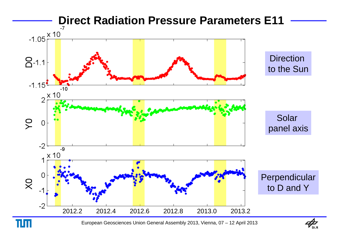#### **Direct Radiation Pressure Parameters E11**



European Geosciences Union General Assembly 2013, Vienna, 07 – 12 April 2013

 $\Pi \Pi$ 

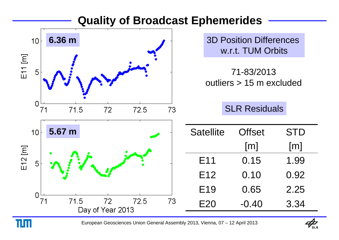#### **Quality of Broadcast Ephemerides**



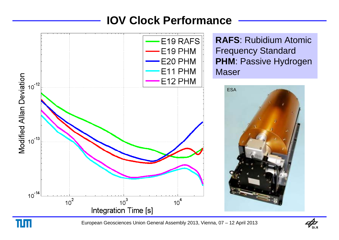#### **IOV Clock Performance**



**RAFS**: Rubidium Atomic Frequency Standard **PHM**: Passive Hydrogen Maser





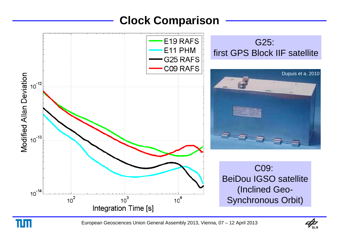### **Clock Comparison**